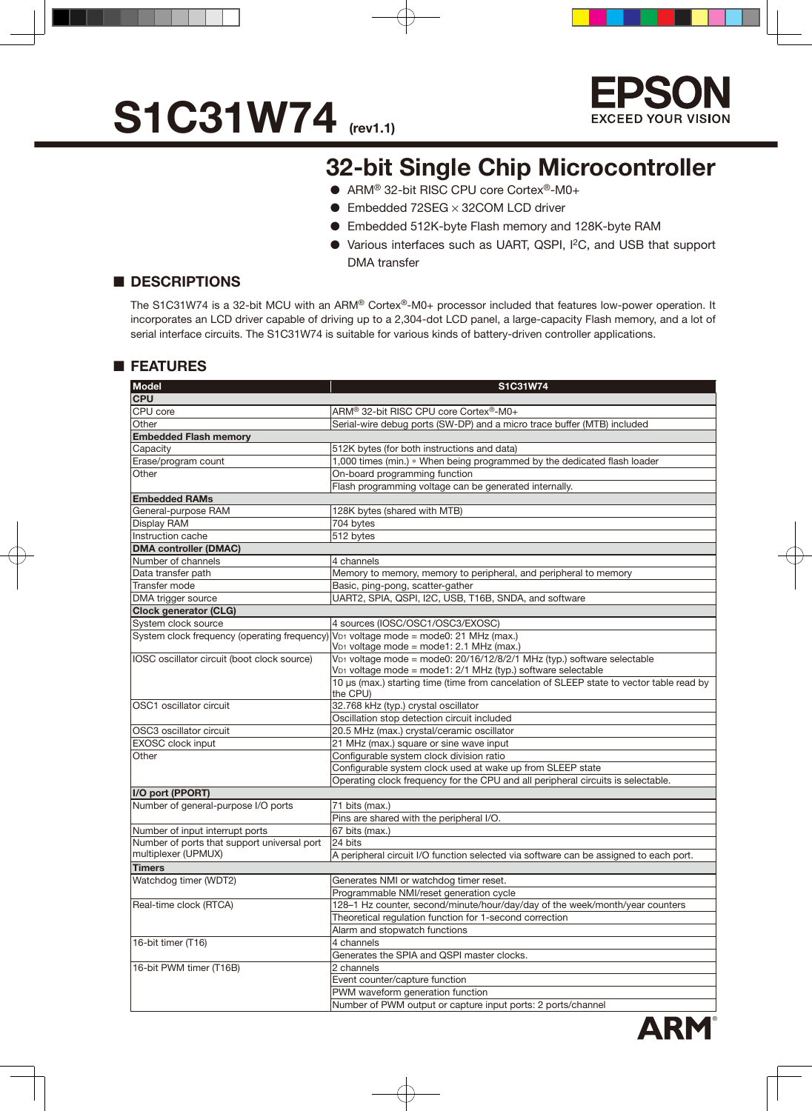



### **32-bit Single Chip Microcontroller**

- ARM<sup>®</sup> 32-bit RISC CPU core Cortex<sup>®</sup>-M0+
- $\bullet$  Embedded 72SEG  $\times$  32COM LCD driver
- Embedded 512K-byte Flash memory and 128K-byte RAM
- Various interfaces such as UART, QSPI, I2C, and USB that support DMA transfer

#### ■ **DESCRIPTIONS**

The S1C31W74 is a 32-bit MCU with an ARM® Cortex®-M0+ processor included that features low-power operation. It incorporates an LCD driver capable of driving up to a 2,304-dot LCD panel, a large-capacity Flash memory, and a lot of serial interface circuits. The S1C31W74 is suitable for various kinds of battery-driven controller applications.

#### ■ **FEATURES**

| <b>Model</b>                                                       | S1C31W74                                                                                                                |  |  |  |  |  |
|--------------------------------------------------------------------|-------------------------------------------------------------------------------------------------------------------------|--|--|--|--|--|
| <b>CPU</b>                                                         |                                                                                                                         |  |  |  |  |  |
| CPU core                                                           | ARM® 32-bit RISC CPU core Cortex®-M0+                                                                                   |  |  |  |  |  |
| Other                                                              | Serial-wire debug ports (SW-DP) and a micro trace buffer (MTB) included                                                 |  |  |  |  |  |
| <b>Embedded Flash memory</b>                                       |                                                                                                                         |  |  |  |  |  |
| Capacity                                                           | 512K bytes (for both instructions and data)                                                                             |  |  |  |  |  |
| Erase/program count                                                | 1,000 times (min.) * When being programmed by the dedicated flash loader                                                |  |  |  |  |  |
| Other                                                              | On-board programming function                                                                                           |  |  |  |  |  |
|                                                                    | Flash programming voltage can be generated internally.                                                                  |  |  |  |  |  |
| <b>Embedded RAMs</b>                                               |                                                                                                                         |  |  |  |  |  |
| General-purpose RAM                                                | 128K bytes (shared with MTB)                                                                                            |  |  |  |  |  |
| Display RAM                                                        | 704 bytes                                                                                                               |  |  |  |  |  |
| Instruction cache                                                  | 512 bytes                                                                                                               |  |  |  |  |  |
| <b>DMA controller (DMAC)</b>                                       |                                                                                                                         |  |  |  |  |  |
| Number of channels                                                 | 4 channels                                                                                                              |  |  |  |  |  |
| Data transfer path                                                 | Memory to memory, memory to peripheral, and peripheral to memory                                                        |  |  |  |  |  |
| Transfer mode                                                      | Basic, ping-pong, scatter-gather                                                                                        |  |  |  |  |  |
| DMA trigger source                                                 | UART2, SPIA, QSPI, I2C, USB, T16B, SNDA, and software                                                                   |  |  |  |  |  |
| <b>Clock generator (CLG)</b>                                       |                                                                                                                         |  |  |  |  |  |
| System clock source                                                | 4 sources (IOSC/OSC1/OSC3/EXOSC)                                                                                        |  |  |  |  |  |
| System clock frequency (operating frequency)                       | V <sub>D1</sub> voltage mode = mode0: 21 MHz (max.)                                                                     |  |  |  |  |  |
|                                                                    | V <sub>D1</sub> voltage mode = mode1: 2.1 MHz (max.)                                                                    |  |  |  |  |  |
| IOSC oscillator circuit (boot clock source)                        | V <sub>D1</sub> voltage mode = mode0: 20/16/12/8/2/1 MHz (typ.) software selectable                                     |  |  |  |  |  |
|                                                                    | V <sub>D1</sub> voltage mode = mode1: 2/1 MHz (typ.) software selectable                                                |  |  |  |  |  |
|                                                                    | 10 µs (max.) starting time (time from cancelation of SLEEP state to vector table read by                                |  |  |  |  |  |
|                                                                    | the CPU)                                                                                                                |  |  |  |  |  |
| OSC1 oscillator circuit                                            | 32.768 kHz (typ.) crystal oscillator                                                                                    |  |  |  |  |  |
|                                                                    | Oscillation stop detection circuit included                                                                             |  |  |  |  |  |
| OSC3 oscillator circuit                                            | 20.5 MHz (max.) crystal/ceramic oscillator                                                                              |  |  |  |  |  |
| <b>EXOSC</b> clock input                                           | 21 MHz (max.) square or sine wave input                                                                                 |  |  |  |  |  |
| Other                                                              | Configurable system clock division ratio                                                                                |  |  |  |  |  |
|                                                                    | Configurable system clock used at wake up from SLEEP state                                                              |  |  |  |  |  |
|                                                                    | Operating clock frequency for the CPU and all peripheral circuits is selectable.                                        |  |  |  |  |  |
| I/O port (PPORT)                                                   |                                                                                                                         |  |  |  |  |  |
| Number of general-purpose I/O ports                                | 71 bits (max.)                                                                                                          |  |  |  |  |  |
|                                                                    | Pins are shared with the peripheral I/O.                                                                                |  |  |  |  |  |
| Number of input interrupt ports                                    | 67 bits (max.)<br>24 bits                                                                                               |  |  |  |  |  |
| Number of ports that support universal port<br>multiplexer (UPMUX) |                                                                                                                         |  |  |  |  |  |
|                                                                    | A peripheral circuit I/O function selected via software can be assigned to each port.                                   |  |  |  |  |  |
| <b>Timers</b><br>Watchdog timer (WDT2)                             | Generates NMI or watchdog timer reset.                                                                                  |  |  |  |  |  |
|                                                                    |                                                                                                                         |  |  |  |  |  |
|                                                                    | Programmable NMI/reset generation cycle<br>128-1 Hz counter, second/minute/hour/day/day of the week/month/year counters |  |  |  |  |  |
| Real-time clock (RTCA)                                             |                                                                                                                         |  |  |  |  |  |
|                                                                    | Theoretical regulation function for 1-second correction                                                                 |  |  |  |  |  |
| 16-bit timer (T16)                                                 | Alarm and stopwatch functions<br>4 channels                                                                             |  |  |  |  |  |
|                                                                    | Generates the SPIA and QSPI master clocks.                                                                              |  |  |  |  |  |
| 16-bit PWM timer (T16B)                                            | 2 channels                                                                                                              |  |  |  |  |  |
|                                                                    |                                                                                                                         |  |  |  |  |  |
|                                                                    | Event counter/capture function<br>PWM waveform generation function                                                      |  |  |  |  |  |
|                                                                    | Number of PWM output or capture input ports: 2 ports/channel                                                            |  |  |  |  |  |
|                                                                    |                                                                                                                         |  |  |  |  |  |

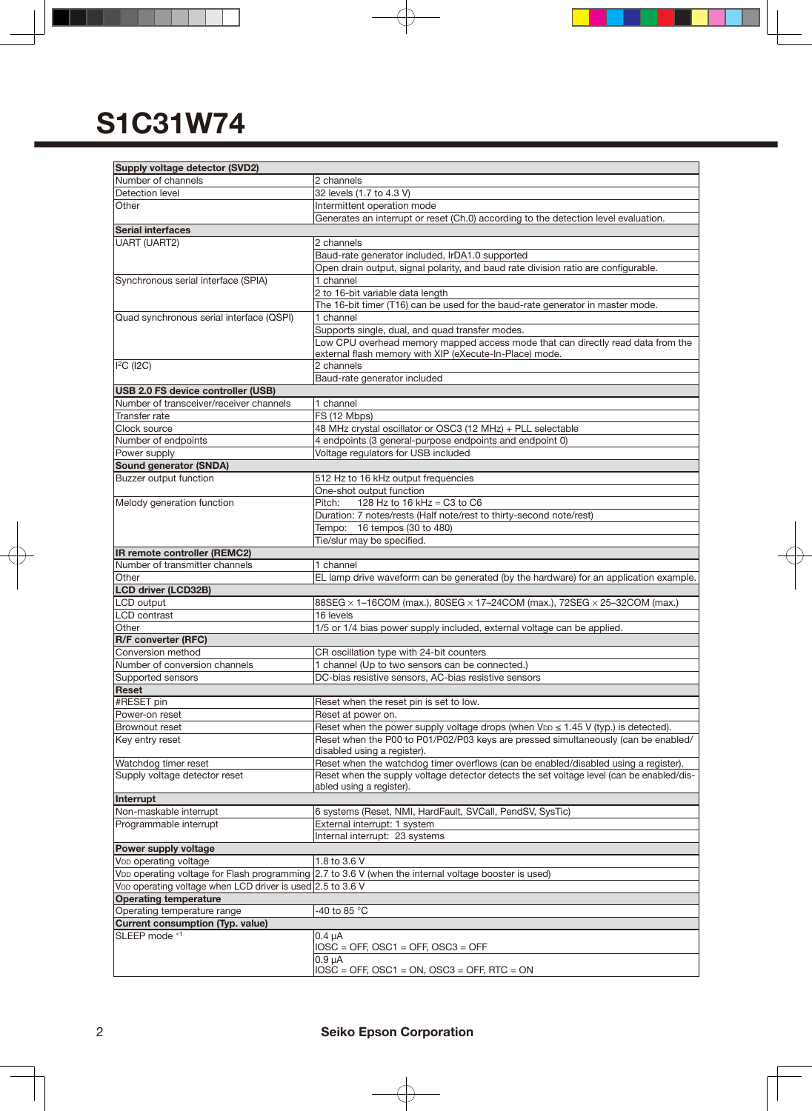| Supply voltage detector (SVD2)                                         |                                                                                                      |
|------------------------------------------------------------------------|------------------------------------------------------------------------------------------------------|
| Number of channels                                                     | 2 channels                                                                                           |
| Detection level                                                        | 32 levels (1.7 to 4.3 V)                                                                             |
| Other                                                                  | Intermittent operation mode                                                                          |
|                                                                        | Generates an interrupt or reset (Ch.0) according to the detection level evaluation.                  |
| <b>Serial interfaces</b>                                               |                                                                                                      |
| <b>UART (UART2)</b>                                                    | 2 channels                                                                                           |
|                                                                        | Baud-rate generator included, IrDA1.0 supported                                                      |
|                                                                        | Open drain output, signal polarity, and baud rate division ratio are configurable.                   |
| Synchronous serial interface (SPIA)                                    | 1 channel                                                                                            |
|                                                                        | 2 to 16-bit variable data length                                                                     |
|                                                                        | The 16-bit timer (T16) can be used for the baud-rate generator in master mode.                       |
| Quad synchronous serial interface (QSPI)                               | 1 channel                                                                                            |
|                                                                        | Supports single, dual, and quad transfer modes.                                                      |
|                                                                        | Low CPU overhead memory mapped access mode that can directly read data from the                      |
|                                                                        | external flash memory with XIP (eXecute-In-Place) mode.                                              |
| $I2C$ (I2C)                                                            | 2 channels                                                                                           |
|                                                                        | Baud-rate generator included                                                                         |
| USB 2.0 FS device controller (USB)                                     |                                                                                                      |
| Number of transceiver/receiver channels                                | 1 channel                                                                                            |
| Transfer rate                                                          | FS (12 Mbps)                                                                                         |
| Clock source                                                           | 48 MHz crystal oscillator or OSC3 (12 MHz) + PLL selectable                                          |
| Number of endpoints<br>Power supply                                    | 4 endpoints (3 general-purpose endpoints and endpoint 0)<br>Voltage regulators for USB included      |
| Sound generator (SNDA)                                                 |                                                                                                      |
| Buzzer output function                                                 | 512 Hz to 16 kHz output frequencies                                                                  |
|                                                                        | One-shot output function                                                                             |
| Melody generation function                                             | Pitch:<br>128 Hz to 16 kHz ≈ C3 to C6                                                                |
|                                                                        | Duration: 7 notes/rests (Half note/rest to thirty-second note/rest)                                  |
|                                                                        | Tempo: 16 tempos (30 to 480)                                                                         |
|                                                                        | Tie/slur may be specified.                                                                           |
| IR remote controller (REMC2)                                           |                                                                                                      |
| Number of transmitter channels                                         | 1 channel                                                                                            |
| Other                                                                  | EL lamp drive waveform can be generated (by the hardware) for an application example.                |
| <b>LCD driver (LCD32B)</b>                                             |                                                                                                      |
| LCD output                                                             | 88SEG × 1-16COM (max.), 80SEG × 17-24COM (max.), 72SEG × 25-32COM (max.)                             |
| <b>LCD</b> contrast                                                    | 16 levels                                                                                            |
| Other                                                                  | 1/5 or 1/4 bias power supply included, external voltage can be applied.                              |
| R/F converter (RFC)                                                    |                                                                                                      |
| Conversion method                                                      | CR oscillation type with 24-bit counters                                                             |
| Number of conversion channels                                          | 1 channel (Up to two sensors can be connected.)                                                      |
| Supported sensors                                                      | DC-bias resistive sensors, AC-bias resistive sensors                                                 |
| Reset                                                                  |                                                                                                      |
| #RESET pin                                                             | Reset when the reset pin is set to low.                                                              |
| Power-on reset                                                         | Reset at power on.                                                                                   |
| Brownout reset                                                         | Reset when the power supply voltage drops (when $V_{DD} \le 1.45$ V (typ.) is detected).             |
| Key entry reset                                                        | Reset when the P00 to P01/P02/P03 keys are pressed simultaneously (can be enabled/                   |
|                                                                        | disabled using a register).                                                                          |
| Watchdog timer reset                                                   | Reset when the watchdog timer overflows (can be enabled/disabled using a register).                  |
| Supply voltage detector reset                                          | Reset when the supply voltage detector detects the set voltage level (can be enabled/dis-            |
|                                                                        | abled using a register).                                                                             |
| Interrupt<br>Non-maskable interrupt                                    |                                                                                                      |
| Programmable interrupt                                                 | 6 systems (Reset, NMI, HardFault, SVCall, PendSV, SysTic)                                            |
|                                                                        | External interrupt: 1 system<br>Internal interrupt: 23 systems                                       |
| Power supply voltage                                                   |                                                                                                      |
| V <sub>DD</sub> operating voltage                                      | 1.8 to 3.6 V                                                                                         |
|                                                                        | VDD operating voltage for Flash programming 2.7 to 3.6 V (when the internal voltage booster is used) |
| V <sub>DD</sub> operating voltage when LCD driver is used 2.5 to 3.6 V |                                                                                                      |
| <b>Operating temperature</b>                                           |                                                                                                      |
| Operating temperature range                                            | -40 to 85 °C                                                                                         |
| <b>Current consumption (Typ. value)</b>                                |                                                                                                      |
| SLEEP mode *1                                                          | $0.4 \mu A$                                                                                          |
|                                                                        | $IOSC = OFF$ , $OSC1 = OFF$ , $OSC3 = OFF$                                                           |
|                                                                        | 0.9 <sub>µ</sub> A                                                                                   |
|                                                                        | $IOSC = OFF$ , $OSC1 = ON$ , $OSC3 = OFF$ , $RTC = ON$                                               |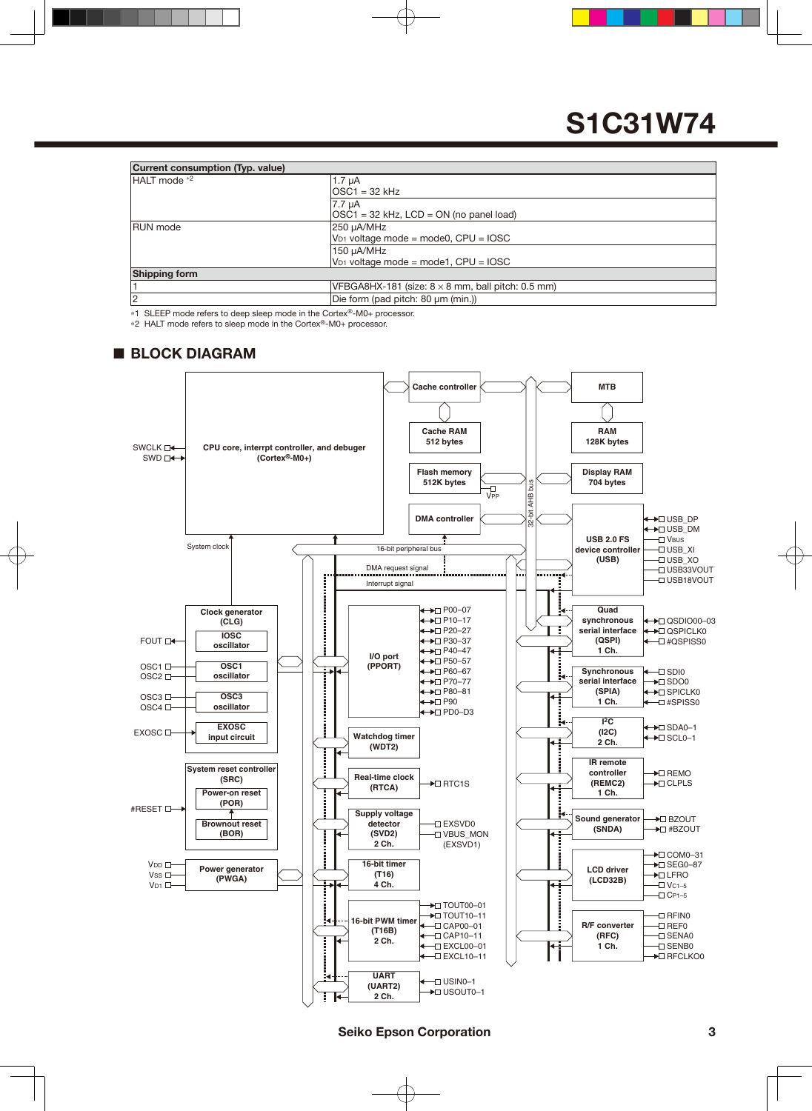| <b>Current consumption (Typ. value)</b> |                                                          |  |  |  |  |  |  |
|-----------------------------------------|----------------------------------------------------------|--|--|--|--|--|--|
| HALT mode *2                            | $1.7 \mu A$                                              |  |  |  |  |  |  |
|                                         | lOSC1 = 32 kHz                                           |  |  |  |  |  |  |
|                                         | 7.7 uA                                                   |  |  |  |  |  |  |
|                                         | $ OSC1 = 32$ kHz, $LCD = ON$ (no panel load)             |  |  |  |  |  |  |
| <b>RUN</b> mode                         | 250 µA/MHz                                               |  |  |  |  |  |  |
|                                         | $V_{D1}$ voltage mode = mode0, CPU = IOSC                |  |  |  |  |  |  |
|                                         | 150 µA/MHz                                               |  |  |  |  |  |  |
|                                         | $V_{D1}$ voltage mode = mode1, CPU = IOSC                |  |  |  |  |  |  |
| <b>Shipping form</b>                    |                                                          |  |  |  |  |  |  |
|                                         | VFBGA8HX-181 (size: $8 \times 8$ mm, ball pitch: 0.5 mm) |  |  |  |  |  |  |
| 2                                       | Die form (pad pitch: 80 µm (min.))                       |  |  |  |  |  |  |

\*1 SLEEP mode refers to deep sleep mode in the Cortex®-M0+ processor.

\*2 HALT mode refers to sleep mode in the Cortex®-M0+ processor.

#### ■ **BLOCK DIAGRAM**

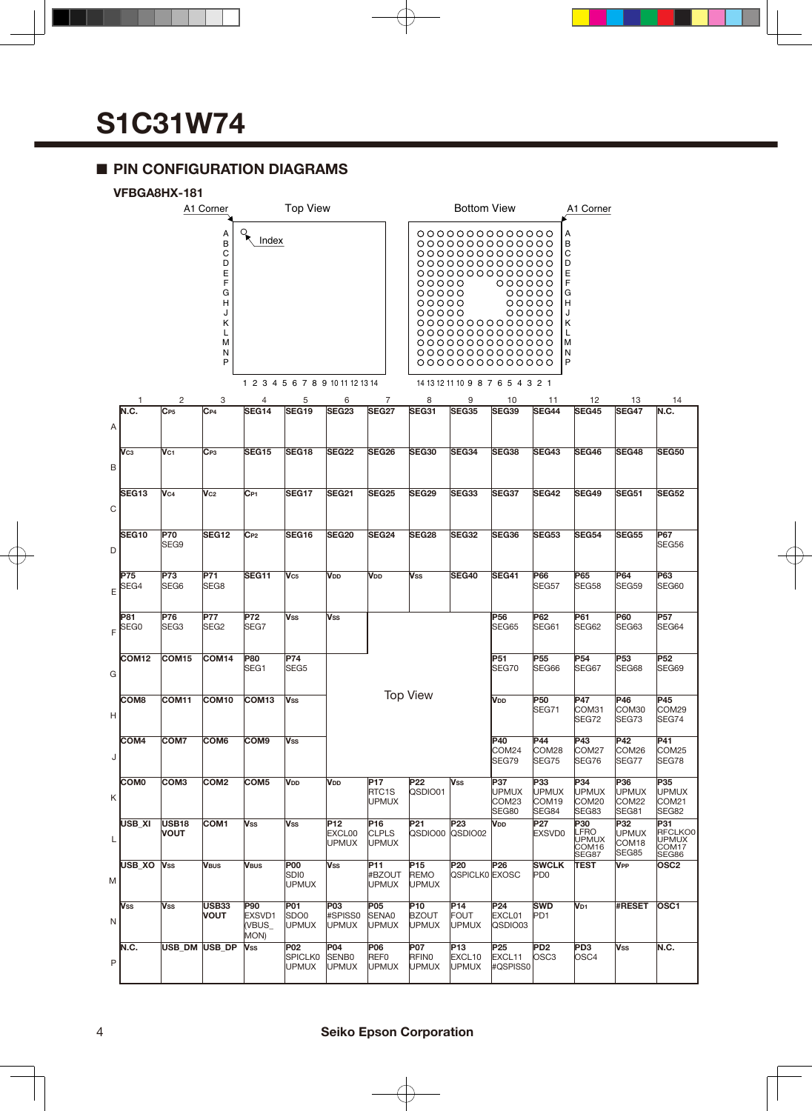### ■ **PIN CONFIGURATION DIAGRAMS**



|             |                   | ו טו וטרוטע                 | A1 Corner                                                          |                                 | <b>Top View</b>                                   |                                          |                                     |                                                | <b>Bottom View</b>                                                                                                                                                     |                                       |                                                   | A1 Corner                                                          |                                       |                                                              |
|-------------|-------------------|-----------------------------|--------------------------------------------------------------------|---------------------------------|---------------------------------------------------|------------------------------------------|-------------------------------------|------------------------------------------------|------------------------------------------------------------------------------------------------------------------------------------------------------------------------|---------------------------------------|---------------------------------------------------|--------------------------------------------------------------------|---------------------------------------|--------------------------------------------------------------|
|             |                   |                             | A<br>B<br>C<br>D<br>Ε<br>F<br>G<br>н<br>J<br>κ<br>L<br>M<br>N<br>P | $\mathcal{L}$<br>Index          |                                                   |                                          |                                     | 00000<br>00000<br>00000<br>00000               | 0000000000000<br>0000000000000<br>0000000000000<br>0000000000000<br>0000000000000<br>0000000000000<br>0000000000000<br>0000000000000<br>0000000000000<br>0000000000000 | 000000<br>00000<br>00000<br>00000     |                                                   | A<br>B<br>С<br>D<br>Ε<br>F<br>G<br>н<br>J<br>Κ<br>L<br>М<br>N<br>P |                                       |                                                              |
|             |                   |                             |                                                                    |                                 | 1 2 3 4 5 6 7 8 9 10 11 12 13 14                  |                                          |                                     |                                                | 14 13 12 11 10 9 8 7 6 5 4 3 2 1                                                                                                                                       |                                       |                                                   |                                                                    |                                       |                                                              |
|             | 1<br>N.C.         | 2<br>$C_{P5}$               | 3<br>$C_{P4}$                                                      | 4<br>SEG14                      | 5<br><b>SEG19</b>                                 | 6<br>SEG <sub>23</sub>                   | 7<br><b>SEG27</b>                   | 8<br>SEG31                                     | 9<br><b>SEG35</b>                                                                                                                                                      | 10<br>SEG39                           | 11<br><b>SEG44</b>                                | 12<br><b>SEG45</b>                                                 | 13<br><b>SEG47</b>                    | 14<br>N.C.                                                   |
| Α           |                   |                             |                                                                    |                                 |                                                   |                                          |                                     |                                                |                                                                                                                                                                        |                                       |                                                   |                                                                    |                                       |                                                              |
| B           | Vсз               | V <sub>C1</sub>             | $C_{P3}$                                                           | SEG15                           | SEG18                                             | <b>SEG22</b>                             | <b>SEG26</b>                        | <b>SEG30</b>                                   | SEG34                                                                                                                                                                  | SEG38                                 | <b>SEG43</b>                                      | SEG46                                                              | <b>SEG48</b>                          | <b>SEG50</b>                                                 |
| $\mathsf C$ | SEG <sub>13</sub> | V <sub>C4</sub>             | $V_{C2}$                                                           | $C_{P1}$                        | SEG17                                             | <b>SEG21</b>                             | SEG <sub>25</sub>                   | <b>SEG29</b>                                   | SEG33                                                                                                                                                                  | SEG37                                 | <b>SEG42</b>                                      | SEG49                                                              | <b>SEG51</b>                          | <b>SEG52</b>                                                 |
| D           | SEG <sub>10</sub> | <b>P70</b><br>SEG9          | <b>SEG12</b>                                                       | $C_{P2}$                        | SEG16                                             | <b>SEG20</b>                             | <b>SEG24</b>                        | <b>SEG28</b>                                   | <b>SEG32</b>                                                                                                                                                           | SEG <sub>36</sub>                     | <b>SEG53</b>                                      | <b>SEG54</b>                                                       | <b>SEG55</b>                          | P67<br>SEG56                                                 |
| E           | P75<br>SEG4       | P73<br>SEG <sub>6</sub>     | P71<br>SEG8                                                        | SEG11                           | V <sub>C5</sub>                                   | V <sub>DD</sub>                          | V <sub>DD</sub>                     | Vss                                            | <b>SEG40</b>                                                                                                                                                           | <b>SEG41</b>                          | P66<br>SEG57                                      | P65<br>SEG58                                                       | P64<br>SEG59                          | P63<br>SEG60                                                 |
| F           | P81<br>SEG0       | P76<br>SEG <sub>3</sub>     | P77<br>SEG <sub>2</sub>                                            | <b>P72</b><br>SEG7              | <b>Vss</b>                                        | Vss                                      |                                     |                                                |                                                                                                                                                                        | P56<br>SEG65                          | P62<br>SEG61                                      | P61<br>SEG62                                                       | P60<br>SEG63                          | <b>P57</b><br>SEG64                                          |
| G           | COM <sub>12</sub> | COM <sub>15</sub>           | COM14                                                              | P80<br>SEG1                     | <b>P74</b><br>SEG <sub>5</sub>                    |                                          |                                     |                                                |                                                                                                                                                                        | P51<br>SEG70                          | P <sub>55</sub><br>SEG66                          | P <sub>54</sub><br>SEG67                                           | P <sub>53</sub><br>SEG68              | P <sub>52</sub><br>SEG69                                     |
| н           | COM <sub>8</sub>  | COM11                       | COM <sub>10</sub>                                                  | COM <sub>13</sub>               | Vss                                               |                                          |                                     | <b>Top View</b>                                |                                                                                                                                                                        | V <sub>DD</sub>                       | P <sub>50</sub><br>SEG71                          | P47<br>COM31<br>SEG72                                              | P46<br>COM30<br>SEG73                 | P45<br>COM29<br>SEG74                                        |
| J           | COM <sub>4</sub>  | COM7                        | COM <sub>6</sub>                                                   | COM <sub>9</sub>                | <b>Vss</b>                                        |                                          |                                     |                                                |                                                                                                                                                                        | P40<br>COM24<br>SEG79                 | P44<br>COM28<br>SEG75                             | P43<br>COM <sub>27</sub><br>SEG76                                  | P42<br>COM26<br>SEG77                 | P41<br>COM25<br>SEG78                                        |
| Κ           | <b>COM0</b>       | COM <sub>3</sub>            | COM <sub>2</sub>                                                   | COM <sub>5</sub>                | V <sub>DD</sub>                                   | V <sub>DD</sub>                          | <b>P17</b><br>RTC1S<br><b>UPMUX</b> | P <sub>22</sub><br>QSDIO01                     | <b>Vss</b>                                                                                                                                                             | P37<br><b>UPMUX</b><br>COM23<br>SEG80 | P33<br><b>UPMUX</b><br>COM <sub>19</sub><br>SEG84 | P34<br><b>UPMUX</b><br>COM <sub>20</sub><br>SEG83                  | P36<br><b>UPMUX</b><br>COM22<br>SEG81 | P35<br><b>UPMUX</b><br>COM <sub>21</sub><br>SEG82            |
| L           | USB_XI            | <b>USB18</b><br><b>VOUT</b> | COM1                                                               | Vss                             | Vss                                               | P12<br>EXCL00<br><b>UPMUX</b>            | P16<br><b>CLPLS</b><br><b>UPMUX</b> | P21<br>QSDIO00                                 | P <sub>23</sub><br>QSDIO02                                                                                                                                             | Vdd                                   | <b>P27</b><br><b>EXSVD0</b>                       | P30<br><b>LFRO</b><br><b>UPMUX</b><br>COM <sub>16</sub><br>SEG87   | P32<br><b>UPMUX</b><br>COM18<br>SEG85 | P31<br>RFCLKO0<br><b>UPMUX</b><br>COM <sub>17</sub><br>SEG86 |
| M           | USB XO            | <b>Vss</b>                  | <b>VBUS</b>                                                        | VBUS                            | <b>P00</b><br>SDI0<br><b>UPMUX</b>                | <b>Vss</b>                               | P11<br>#BZOUT<br><b>UPMUX</b>       | P <sub>15</sub><br><b>REMO</b><br><b>UPMUX</b> | P <sub>20</sub><br>QSPICLK0 EXOSC                                                                                                                                      | P <sub>26</sub>                       | <b>SWCLK</b><br>PD <sub>0</sub>                   | <b>TEST</b>                                                        | <b>V<sub>PP</sub></b>                 | OSC <sub>2</sub>                                             |
| N           | Vss               | <b>Vss</b>                  | USB33<br><b>VOUT</b>                                               | P90<br>EXSVD1<br>(VBUS_<br>MON) | P01<br>SD <sub>O0</sub><br><b>UPMUX</b>           | P <sub>03</sub><br>#SPISS0<br>UPMUX      | P05<br>SENA0<br><b>UPMUX</b>        | P10<br><b>BZOUT</b><br><b>UPMUX</b>            | P <sub>14</sub><br><b>FOUT</b><br>UPMUX                                                                                                                                | P <sub>24</sub><br>EXCL01<br>QSDIO03  | <b>SWD</b><br>PD <sub>1</sub>                     | V <sub>D1</sub>                                                    | #RESET                                | OSC <sub>1</sub>                                             |
| P           | N.C.              | USB DM                      | <b>USB DP</b>                                                      | Vss                             | P <sub>02</sub><br><b>SPICLK0</b><br><b>UPMUX</b> | P04<br>SENB <sub>0</sub><br><b>UPMUX</b> | <b>P06</b><br>REF0<br><b>UPMUX</b>  | P07<br>RFIN0<br><b>UPMUX</b>                   | P <sub>13</sub><br>EXCL10<br><b>UPMUX</b>                                                                                                                              | P25<br>EXCL11<br>#QSPISS0             | PD <sub>2</sub><br>OSC <sub>3</sub>               | PD <sub>3</sub><br>OSC <sub>4</sub>                                | <b>Vss</b>                            | N.C.                                                         |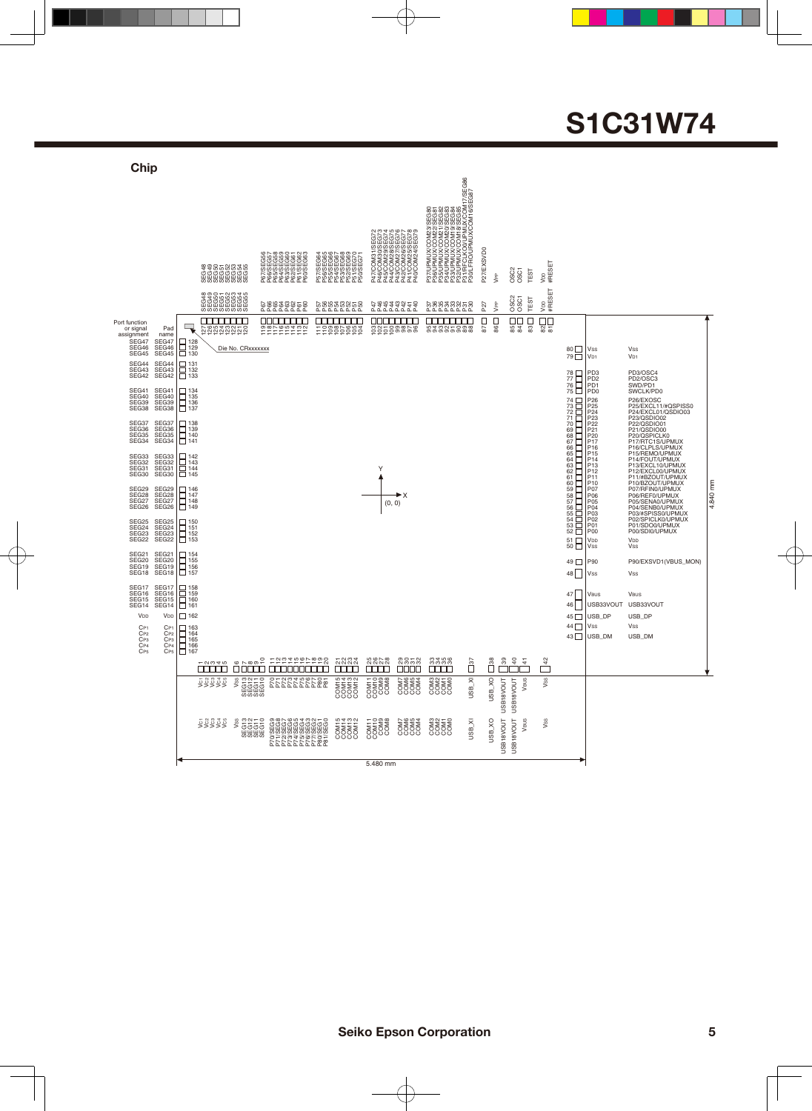#### 17/SEG86<br>EG87 P31/RFCLKO0/UPMUX/COM17/SEG86 P30/LFRO/UPMUX/COM16/SEG87 **JRAMUOXOMAS SESSA<br>SESSA MARKET SESSA SESSA SESSA SESSA SESSA SESSA SESSA SESSA SESSA SESSA SESSA SESSA SESSA SESSA SESSA SESSA SESSA SESSA SESSA SESSA SESSA SESSA SESSA SESSA SESSA SESSA SESSA SESSA SESSA SESSA SESSA SESS** P37/UPMUX/COM23/SEG80 P35/UPMUX/COM21/SEG82 P34/UPMUX/COM20/SEG83 P33/UPMUX/COM19/SEG84 P32/UPMUX/COM18/SEG85 P36/UPMUX/COM22/SEG81 P47/COM31/SEG72<br>P48/COM30/SEG73<br>P44/COM28/SEG73<br>P44/COM27/SEG776<br>P42/COM27/SEG776<br>P44/COM24/SEG79 P47/COM31/SEG72 P46/COM30/SEG73 P45/COM29/SEG74 P44/COM28/SEG75 P43/COM27/SEG76 P42/COM26/SEG77 P41/COM25/SEG78 P40/COM24/SEG79 P27/EXSVD0 P57/SEG64<br>P56/SEG66<br>P56/SEG666<br>P54/SEG666<br>P56/SEG666<br>P56/SEG671<br>P50/SEG71<br>P50/SEG71 P47/COM31/<br>P46/COM30/<br>P46/COM30/ P27/EXSVD0 P67/SEG56 P66/SEG57 P65/SEG58 P64/SEG59 P63/SEG60 P61/SEG62 P60/SEG63 P57/SEG64 P56/SEG65 P55/SEG66 P54/SEG67 P53/SEG68 P52/SEG69 P51/SEG70 P62/SEG61 P50/SEG71 V<sub>DD</sub><br>#RESET 8<br>SEG563<br>SEG563<br>SEG533<br>SEG5 SS<br>SS<br>FES VPP VDD #RESET SEG<br>33<br>SEG5333<br>SEG533 OSC2 OSC1 TEST P27 VPP P67 P66 P65 P64 P63 P62 P61 P60 P57 P56 P55 P54 P53 P52 P51 P50 P483352 D8838888<br>P4233423 D888888 0000000 <u>៦និ</u>ក្ខខ្នងខ្នង 22222222222 8858 99 98 97 96 95 94 93 92 91 90 89 88 87 86 85 84 83 82 81 Die No. CRxxxxxxxVss Vss 80 79 vou<br>V<sub>D1</sub> V<sub>D1</sub> 78 77 76 75 74 73 72 71 70 69 68 67 66 65 64 63 62 61 60 59 58 57 56 55 54 53 52 PD3 PD2 PD1 PD0 PD3/OSC4<br>PD2/OSC3<br>SWD/PD1<br>SWCLK/PD0 P26<br>P22221201716514131211007066544<br>P111007060504002020170605040322110101211007066544 P26/EXOSC<br>P24/EXCL01/QSDIO03<br>P22/QSDIO02<br>P22/QSDIO01<br>P20/QSPICLK0<br>P20/QSPICLK0<br>P20/QSPICLK0<br>P17/RTC1S/UPMUX<br>P13/EXCL10/UPMUX<br>P13/EXCL10/UPMUX<br>P13/EXCL10/UPMUX<br>P13/EXCL10/UPMUX Y P11/#BZOUT/UPMUX<br>P11/#BZOUT/UPMUX<br>P07/RFIN0/UPMUX<br>P06/REF0/UPMUX<br>P06/SENA0/UPMUX<br>P04/SENB0/UPMUX<br>P02/SPICLK0/UPMUX<br>P02/SPICLK0/UPMUX 4.840 mm 4.840 mm  $\blacktriangleright$  X  $(0, 0)$ P01/SDO0/UPMUX P00/SDI0/UPMUX 51 50 V<sub>DD</sub><br>Vss V<sub>DE</sub> 49  $\Box$ P90 P90/EXSVD1(VBUS\_MON)

5.480 mm

ES<br>COM<br>FOR<br>COM

ES<br>ESSO<br>COM<br>ESSO

COM7 COM6 COM5 COM4

COCO<br>COM4<br>COM4<br>COM4

COM3 COM2 COM1 COM0

33 34 35 36

E<br>COM<br>COM<br>COM

USB\_XI USB\_XO USB18VOUT USB18VOUT VBUS VSS

 $\overline{5}$ 

38 39 40 41

USB18VOUT USB18VOUT

USB18VOUT<br>USB18VOUT

 $\sqrt{\frac{4}{1}}$ 

USB\_XI USB\_XO USB18VOUT USB18VOUT VBUS VSS

COM13<br>COM13<br>COM13<br>COM13

1 2 3 4 5 6 7 8 9 10 11 12 13 14 15 16 17 18 19 20 21 22 23 24 25 26 27 28 29 30 31 32

និន្ត្រីកូនកូនដូចនិន្ត<br>តាក្តាកាកក្តាក្តីកូនកូន<br>ចិន្ត្រីកូនកូនដូចនិ FFFFFFFFFFF<br>SENSTREEFF

VENS SEGNE DE SELELLELLE

P70/SEG9 P71/SEG8 P72/SEG7 P73/SEG6 P74/SEG5 P75/SEG4 P76/SEG3 P77/SEG2 P80/SEG1 P81/SEG0 COM15 COM14 COM13 COM12

VC1 VC2 VC3 VC4 VC5 VSS SEG13 SEG12 SEG11 SEG10

### **S1C31W74**

 $|_{VSS}$ VBUS

48  $\Box$ 47 46 45  $\Box$  $44\Box$ 43 $\Box$ 

USB\_DP  $|_{VSS}$ USB\_DM

USB33VOUT USB33VOUT

Vss VBUS USB\_DP  $Vee$ USB\_DM

**Chip**

Pad name SEG47 SEG46 SEG45

Port function or signal assignment SEG47 SEG46 SEG45 SEG44 SEG43 SEG42 SEG41 SEG40 SEG39 SEG38 SEG37 SEG36 SEG35 SEG34

SEG44 SEG43 SEG42

SEG41 SEG40 SEG39 SEG38

SEG37 SEG36 SEG35 SEG34

SEG33 SEG32 SEG31 SEG30 SE<sub>G29</sub> SEG28 SEG27 SEG26

SEG33<br>SEG32<br>SEG31<br>SEG30 SEG29 SEG28 SEG27 SEG26

SEG25 SEG24 SEG23 SEG<sub>22</sub> SEG21 SEG20 SEG19 SEG18 SEG17 SEG16 SEG15 SEG14 V<sub>DD</sub> SEG25 SEG24 SEG23 SEG22

SEG21 SEG20 SEG19 SEG18 SEG<sub>17</sub> SEG16 SEG15 SEG14 VDD

CP1 CP2 CP3 CP4 CP5

CP1 CP2 CP3 CP4 CP5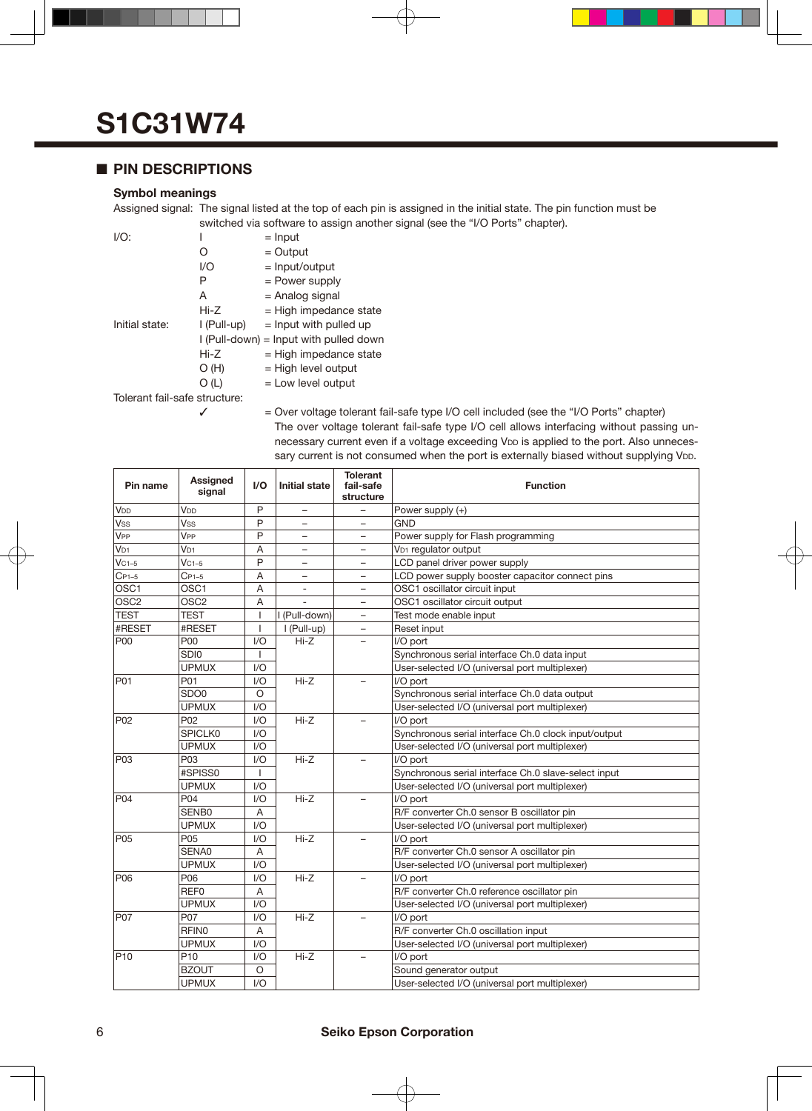#### ■ **PIN DESCRIPTIONS**

#### **Symbol meanings**

Assigned signal: The signal listed at the top of each pin is assigned in the initial state. The pin function must be switched via software to assign another signal (see the "I/O Ports" chapter).

| $I/O$ :                       | I           | $=$ Input                                |  |  |  |  |  |
|-------------------------------|-------------|------------------------------------------|--|--|--|--|--|
|                               | 0           | $=$ Output                               |  |  |  |  |  |
|                               | I/O         | $=$ Input/output                         |  |  |  |  |  |
|                               | Ρ           | = Power supply                           |  |  |  |  |  |
|                               | A           | = Analog signal                          |  |  |  |  |  |
|                               | Hi-Z        | $=$ High impedance state                 |  |  |  |  |  |
| Initial state:                | l (Pull-up) | $=$ Input with pulled up                 |  |  |  |  |  |
|                               |             | $I$ (Pull-down) = lnput with pulled down |  |  |  |  |  |
|                               | Hi-Z        | $=$ High impedance state                 |  |  |  |  |  |
|                               | O(H)        | $=$ High level output                    |  |  |  |  |  |
|                               | O (L)       | $=$ Low level output                     |  |  |  |  |  |
| Tolerant fail-safe structure: |             |                                          |  |  |  |  |  |

 $\checkmark$  = Over voltage tolerant fail-safe type I/O cell included (see the "I/O Ports" chapter) The over voltage tolerant fail-safe type I/O cell allows interfacing without passing unnecessary current even if a voltage exceeding VDD is applied to the port. Also unnecessary current is not consumed when the port is externally biased without supplying V<sub>DD</sub>.

| Pin name              | Assigned<br>signal | I/O            | Initial state            | <b>Tolerant</b><br>fail-safe<br>structure | <b>Function</b>                                      |  |
|-----------------------|--------------------|----------------|--------------------------|-------------------------------------------|------------------------------------------------------|--|
| V <sub>DD</sub>       | V <sub>DD</sub>    | P              | -                        |                                           | Power supply (+)                                     |  |
| Vss                   | Vss                | P              | $\overline{\phantom{0}}$ |                                           | GND                                                  |  |
| <b>V<sub>PP</sub></b> | V <sub>PP</sub>    | P              | -                        |                                           | Power supply for Flash programming                   |  |
| V <sub>D1</sub>       | $V_{D1}$           | A              |                          |                                           | V <sub>D1</sub> requlator output                     |  |
| $VC1-5$               | $VC1-5$            | P              |                          |                                           | LCD panel driver power supply                        |  |
| $C_{P1-5}$            | $C_{P1-5}$         | A              | Ξ.                       | $\overline{\phantom{0}}$                  | LCD power supply booster capacitor connect pins      |  |
| OSC <sub>1</sub>      | OSC <sub>1</sub>   | Α              | $\overline{\phantom{a}}$ | $-$                                       | OSC1 oscillator circuit input                        |  |
| OSC <sub>2</sub>      | OSC <sub>2</sub>   | Α              |                          | -                                         | OSC1 oscillator circuit output                       |  |
| <b>TEST</b>           | <b>TEST</b>        |                | I (Pull-down)            | $\overline{\phantom{0}}$                  | Test mode enable input                               |  |
| #RESET                | #RESET             |                | I (Pull-up)              |                                           | Reset input                                          |  |
| P <sub>00</sub>       | P00                | 1/O            | $Hi-Z$                   |                                           | I/O port                                             |  |
|                       | SDI0               |                |                          |                                           | Synchronous serial interface Ch.0 data input         |  |
|                       | <b>UPMUX</b>       | 1/O            |                          |                                           | User-selected I/O (universal port multiplexer)       |  |
| P01                   | P01                | VQ             | $Hi-Z$                   |                                           | I/O port                                             |  |
|                       | SDO <sub>0</sub>   | $\Omega$       |                          |                                           | Synchronous serial interface Ch.0 data output        |  |
|                       | <b>UPMUX</b>       | 1/O            |                          |                                           | User-selected I/O (universal port multiplexer)       |  |
| P <sub>02</sub>       | P <sub>02</sub>    | 1/O            | $Hi-Z$                   |                                           | I/O port                                             |  |
|                       | <b>SPICLK0</b>     | 1/O            |                          |                                           | Synchronous serial interface Ch.0 clock input/output |  |
|                       | <b>UPMUX</b>       | 1/O            |                          |                                           | User-selected I/O (universal port multiplexer)       |  |
| P <sub>03</sub>       | P03                | 1/O            | $Hi-Z$                   |                                           | I/O port                                             |  |
|                       | #SPISS0            |                |                          |                                           | Synchronous serial interface Ch.0 slave-select input |  |
|                       | <b>UPMUX</b>       | 1/O            |                          |                                           | User-selected I/O (universal port multiplexer)       |  |
| P04                   | P04                | 1/O            | $Hi-Z$                   |                                           | I/O port                                             |  |
|                       | SENB0              | $\overline{A}$ |                          |                                           | R/F converter Ch.0 sensor B oscillator pin           |  |
|                       | <b>UPMUX</b>       | 1/O            |                          |                                           | User-selected I/O (universal port multiplexer)       |  |
| <b>P05</b>            | P05                | 1/O            | $Hi-Z$                   |                                           | I/O port                                             |  |
|                       | SENA0              | Α              |                          |                                           | R/F converter Ch.0 sensor A oscillator pin           |  |
|                       | <b>UPMUX</b>       | 1/O            |                          |                                           | User-selected I/O (universal port multiplexer)       |  |
| P <sub>06</sub>       | P06                | 1/O            | $Hi-Z$                   |                                           | I/O port                                             |  |
|                       | REF <sub>0</sub>   | A              |                          |                                           | R/F converter Ch.0 reference oscillator pin          |  |
|                       | <b>UPMUX</b>       | 1/O            |                          |                                           | User-selected I/O (universal port multiplexer)       |  |
| P07                   | P07                | 1/O            | $Hi-Z$                   |                                           | I/O port                                             |  |
|                       | <b>RFINO</b>       | A              |                          |                                           | R/F converter Ch.0 oscillation input                 |  |
|                       | <b>UPMUX</b>       | 1/O            |                          |                                           | User-selected I/O (universal port multiplexer)       |  |
| P <sub>10</sub>       | P <sub>10</sub>    | 1/O            | $Hi-Z$                   |                                           | I/O port                                             |  |
|                       | <b>BZOUT</b>       | $\circ$        |                          |                                           | Sound generator output                               |  |
|                       | <b>UPMUX</b>       | 1/O            |                          |                                           | User-selected I/O (universal port multiplexer)       |  |

#### 6 **Seiko Epson Corporation**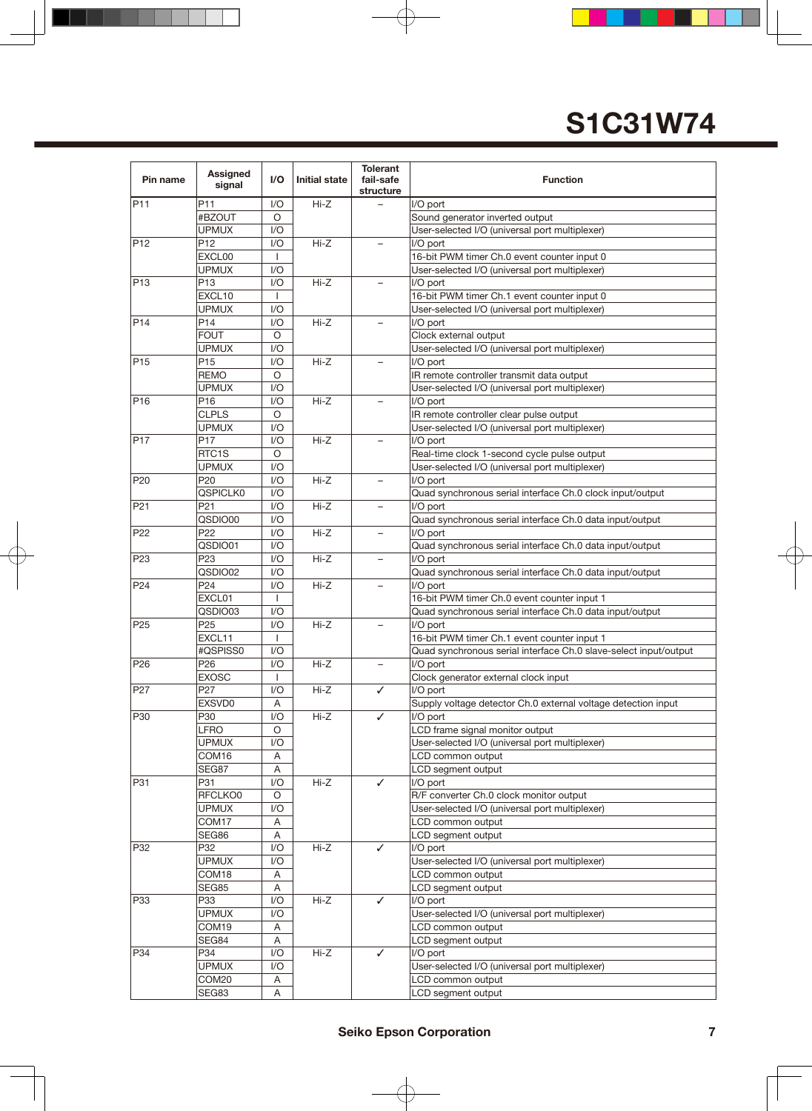| Pin name        | Assigned<br>signal | 1/O     | <b>Initial state</b> | <b>Tolerant</b><br>fail-safe<br>structure | <b>Function</b>                                                  |  |
|-----------------|--------------------|---------|----------------------|-------------------------------------------|------------------------------------------------------------------|--|
| P <sub>11</sub> | P <sub>11</sub>    | 1/O     | $Hi-Z$               |                                           | I/O port                                                         |  |
|                 | #BZOUT             | O       |                      |                                           | Sound generator inverted output                                  |  |
|                 | <b>UPMUX</b>       | I/O     |                      |                                           | User-selected I/O (universal port multiplexer)                   |  |
| P <sub>12</sub> | P <sub>12</sub>    | 1/O     | $Hi-Z$               |                                           | I/O port                                                         |  |
|                 | EXCL00             |         |                      |                                           | 16-bit PWM timer Ch.0 event counter input 0                      |  |
|                 | <b>UPMUX</b>       | I/O     |                      |                                           | User-selected I/O (universal port multiplexer)                   |  |
| P <sub>13</sub> | P <sub>13</sub>    | 1/O     | $Hi-Z$               |                                           | I/O port                                                         |  |
|                 | EXCL10             |         |                      |                                           | 16-bit PWM timer Ch.1 event counter input 0                      |  |
|                 | <b>UPMUX</b>       | 1/O     |                      |                                           | User-selected I/O (universal port multiplexer)                   |  |
| P <sub>14</sub> | P <sub>14</sub>    | 1/O     | $Hi-Z$               |                                           | I/O port                                                         |  |
|                 | <b>FOUT</b>        | O       |                      |                                           | Clock external output                                            |  |
|                 | <b>UPMUX</b>       | 1/O     |                      |                                           | User-selected I/O (universal port multiplexer)                   |  |
| P <sub>15</sub> | P <sub>15</sub>    | 1/O     | Hi-Z                 |                                           | I/O port                                                         |  |
|                 | <b>REMO</b>        | $\circ$ |                      |                                           | IR remote controller transmit data output                        |  |
|                 | UPMUX              | 1/O     |                      |                                           | User-selected I/O (universal port multiplexer)                   |  |
| P <sub>16</sub> | P16                | I/O     | Hi-Z                 |                                           | I/O port                                                         |  |
|                 | <b>CLPLS</b>       | O       |                      |                                           | IR remote controller clear pulse output                          |  |
|                 | <b>UPMUX</b>       | 1/O     |                      |                                           | User-selected I/O (universal port multiplexer)                   |  |
| P <sub>17</sub> | P17                | I/O     | $Hi-Z$               |                                           | I/O port                                                         |  |
|                 | RTC <sub>1</sub> S | O       |                      |                                           | Real-time clock 1-second cycle pulse output                      |  |
|                 | <b>UPMUX</b>       | I/O     |                      |                                           | User-selected I/O (universal port multiplexer)                   |  |
| P <sub>20</sub> | P20                | I/O     | $Hi-Z$               |                                           | I/O port                                                         |  |
|                 | <b>QSPICLK0</b>    | I/O     |                      |                                           | Quad synchronous serial interface Ch.0 clock input/output        |  |
| P <sub>21</sub> | P <sub>21</sub>    | I/O     | $Hi-Z$               | $\overline{\phantom{0}}$                  | I/O port                                                         |  |
|                 | QSDIO00            | I/O     |                      |                                           | Quad synchronous serial interface Ch.0 data input/output         |  |
| P <sub>22</sub> | P22                | 1/O     | $Hi-Z$               |                                           | I/O port                                                         |  |
|                 | QSDIO01            | I/O     |                      |                                           | Quad synchronous serial interface Ch.0 data input/output         |  |
| P <sub>23</sub> | P <sub>23</sub>    | 1/O     | $Hi-Z$               |                                           | I/O port                                                         |  |
|                 | QSDIO02            | I/O     |                      |                                           | Quad synchronous serial interface Ch.0 data input/output         |  |
| P <sub>24</sub> | P <sub>24</sub>    | I/O     | Hi-Z                 |                                           | I/O port                                                         |  |
|                 | EXCL01             | 1       |                      |                                           | 16-bit PWM timer Ch.0 event counter input 1                      |  |
|                 | QSDIO03            | I/O     |                      |                                           | Quad synchronous serial interface Ch.0 data input/output         |  |
| P <sub>25</sub> | P <sub>25</sub>    | I/O     | $Hi-Z$               |                                           | I/O port                                                         |  |
|                 | EXCL11             | 1       |                      |                                           | 16-bit PWM timer Ch.1 event counter input 1                      |  |
|                 | #QSPISS0           | I/O     |                      |                                           | Quad synchronous serial interface Ch.0 slave-select input/output |  |
| P <sub>26</sub> | P <sub>26</sub>    | I/O     | $Hi-Z$               | $\overline{\phantom{0}}$                  | I/O port                                                         |  |
|                 | <b>EXOSC</b>       | -1      |                      |                                           | Clock generator external clock input                             |  |
| P <sub>27</sub> | P <sub>27</sub>    | I/O     | $Hi-Z$               | ✓                                         | I/O port                                                         |  |
|                 | EXSVD0             | A       |                      |                                           | Supply voltage detector Ch.0 external voltage detection input    |  |
| P30             | P30                | I/O     | Hi-Z                 | ✓                                         | I/O port                                                         |  |
|                 | <b>LFRO</b>        | O       |                      |                                           | LCD frame signal monitor output                                  |  |
|                 | <b>UPMUX</b>       | I/O     |                      |                                           | User-selected I/O (universal port multiplexer)                   |  |
|                 | COM16              | A       |                      |                                           | LCD common output                                                |  |
|                 | SEG87              | A       |                      |                                           | LCD segment output                                               |  |
| P31             | P31                | I/O     | Hi-Z                 | ✓                                         | I/O port                                                         |  |
|                 | RFCLKO0            | O       |                      |                                           | R/F converter Ch.0 clock monitor output                          |  |
|                 | <b>UPMUX</b>       | I/O     |                      |                                           | User-selected I/O (universal port multiplexer)                   |  |
|                 | COM17              | Α       |                      |                                           | LCD common output                                                |  |
|                 | SEG86              | Α       |                      |                                           | LCD segment output                                               |  |
| P32             | P32                | I/O     | Hi-Z                 | ✓                                         | I/O port                                                         |  |
|                 | <b>UPMUX</b>       | 1/O     |                      |                                           | User-selected I/O (universal port multiplexer)                   |  |
|                 | COM18              | A       |                      |                                           | LCD common output                                                |  |
|                 | SEG85              | A       |                      |                                           | LCD segment output                                               |  |
| P33             | P33                | 1/O     | Hi-Z                 | ✓                                         | I/O port                                                         |  |
|                 | <b>UPMUX</b>       | 1/O     |                      |                                           | User-selected I/O (universal port multiplexer)                   |  |
|                 | COM19              | A       |                      |                                           | LCD common output                                                |  |
|                 | SEG84              | Α       |                      |                                           | LCD segment output                                               |  |
| P34             | P34                | I/O     | $Hi-Z$               | ✓                                         | I/O port                                                         |  |
|                 | <b>UPMUX</b>       | 1/O     |                      |                                           | User-selected I/O (universal port multiplexer)                   |  |
|                 | COM20              | Α       |                      |                                           | LCD common output                                                |  |
|                 | SEG83              | Α       |                      |                                           | LCD segment output                                               |  |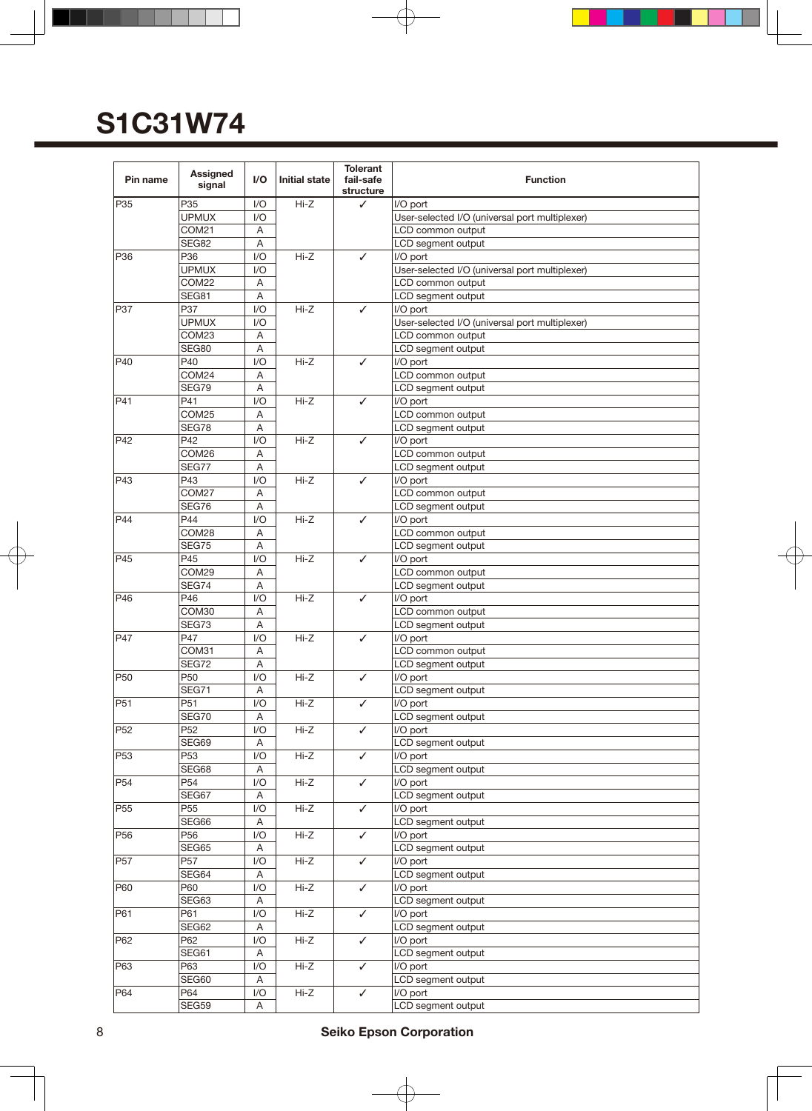| Pin name        | <b>Assigned</b><br>signal | 1/O | <b>Initial state</b> | <b>Tolerant</b><br>fail-safe<br>structure | <b>Function</b>                                |
|-----------------|---------------------------|-----|----------------------|-------------------------------------------|------------------------------------------------|
| P35             | P35                       | I/O | $Hi-Z$               | ✓                                         | I/O port                                       |
|                 | <b>UPMUX</b>              | 1/O |                      |                                           | User-selected I/O (universal port multiplexer) |
|                 | COM21                     | Α   |                      |                                           | LCD common output                              |
|                 | <b>SEG82</b>              | A   |                      |                                           | LCD segment output                             |
| P36             | P36                       | I/O | $Hi-Z$               | ✓                                         | I/O port                                       |
|                 | <b>UPMUX</b>              | 1/O |                      |                                           | User-selected I/O (universal port multiplexer) |
|                 | COM22                     | A   |                      |                                           | LCD common output                              |
|                 | SEG81                     | A   |                      |                                           |                                                |
| P37             | P37                       | I/O | $Hi-Z$               | ✓                                         | LCD segment output<br>I/O port                 |
|                 | <b>UPMUX</b>              | I/O |                      |                                           | User-selected I/O (universal port multiplexer) |
|                 | COM23                     |     |                      |                                           |                                                |
|                 |                           | Α   |                      |                                           | LCD common output                              |
|                 | SEG80                     | Α   |                      |                                           | LCD segment output                             |
| P40             | P40                       | I/O | $Hi-Z$               | ✓                                         | I/O port                                       |
|                 | COM24                     | A   |                      |                                           | LCD common output                              |
|                 | SEG79                     | A   |                      |                                           | LCD segment output                             |
| P41             | P41                       | 1/O | Hi-Z                 | ✓                                         | I/O port                                       |
|                 | COM25                     | Α   |                      |                                           | LCD common output                              |
|                 | SEG78                     | Α   |                      |                                           | LCD segment output                             |
| P42             | P42                       | I/O | Hi-Z                 | ✓                                         | I/O port                                       |
|                 | COM26                     | A   |                      |                                           | LCD common output                              |
|                 | SEG77                     | Α   |                      |                                           | LCD segment output                             |
| P43             | P43                       | I/O | Hi-Z                 | ✓                                         | I/O port                                       |
|                 | COM27                     | Α   |                      |                                           | LCD common output                              |
|                 | SEG76                     | A   |                      |                                           | LCD segment output                             |
| P44             | P44                       | 1/O | $Hi-Z$               | ✓                                         | I/O port                                       |
|                 | COM28                     | A   |                      |                                           | LCD common output                              |
|                 | SEG75                     | A   |                      |                                           | LCD segment output                             |
| P45             | P45                       | 1/O | $Hi-Z$               | ✓                                         | I/O port                                       |
|                 | COM29                     | A   |                      |                                           | LCD common output                              |
|                 | SEG74                     | A   |                      |                                           | LCD segment output                             |
| P46             | P46                       | 1/O | $Hi-Z$               | ✓                                         | I/O port                                       |
|                 | COM30                     | Α   |                      |                                           | LCD common output                              |
|                 | SEG73                     | A   |                      |                                           | LCD segment output                             |
| P47             | P47                       | I/O | $Hi-Z$               | ✓                                         | I/O port                                       |
|                 | COM31                     | Α   |                      |                                           | LCD common output                              |
|                 | SEG72                     | A   |                      |                                           | LCD segment output                             |
| <b>P50</b>      | P <sub>50</sub>           | I/O | $Hi-Z$               | ✓                                         | I/O port                                       |
|                 | SEG71                     | Α   |                      |                                           | LCD segment output                             |
| P51             | P51                       | I/O | $H - Z$              | ✓                                         | I/O port                                       |
|                 | SEG70                     | A   |                      |                                           | LCD segment output                             |
| P <sub>52</sub> | P <sub>52</sub>           | I/O | Hi-Z                 | ✓                                         | I/O port                                       |
|                 | SEG69                     | A   |                      |                                           | LCD segment output                             |
| P <sub>53</sub> | P <sub>53</sub>           | I/O | Hi-Z                 | ✓                                         | I/O port                                       |
|                 | SEG68                     | A   |                      |                                           | LCD segment output                             |
| P <sub>54</sub> | P54                       | I/O | $Hi-Z$               | ✓                                         | I/O port                                       |
|                 | SEG67                     | Α   |                      |                                           | LCD segment output                             |
| P <sub>55</sub> | P <sub>55</sub>           | I/O | $Hi-Z$               | ✓                                         | I/O port                                       |
|                 | SEG66                     | Α   |                      |                                           | LCD segment output                             |
| P <sub>56</sub> | P56                       | I/O | Hi-Z                 | ✓                                         | I/O port                                       |
|                 | SEG65                     | A   |                      |                                           | LCD segment output                             |
| P <sub>57</sub> | P57                       | I/O | $Hi-Z$               | ✓                                         | I/O port                                       |
|                 | SEG64                     | A   |                      |                                           | LCD segment output                             |
| P60             | P60                       | I/O | Hi-Z                 | ✓                                         | I/O port                                       |
|                 | SEG63                     | Α   |                      |                                           | LCD segment output                             |
| P61             | P61                       | 1/O | $Hi-Z$               | ✓                                         | I/O port                                       |
|                 | SEG62                     | A   |                      |                                           | LCD segment output                             |
| P62             | P62                       | 1/O | $Hi-Z$               | ✓                                         | I/O port                                       |
|                 | SEG61                     | A   |                      |                                           | LCD segment output                             |
| P63             | P63                       | 1/O | Hi-Z                 | ✓                                         | I/O port                                       |
|                 | SEG60                     | A   |                      |                                           | LCD segment output                             |
| P64             | P64                       | 1/O | $Hi-Z$               | ✓                                         | I/O port                                       |
|                 | SEG59                     | A   |                      |                                           | LCD segment output                             |
|                 |                           |     |                      |                                           |                                                |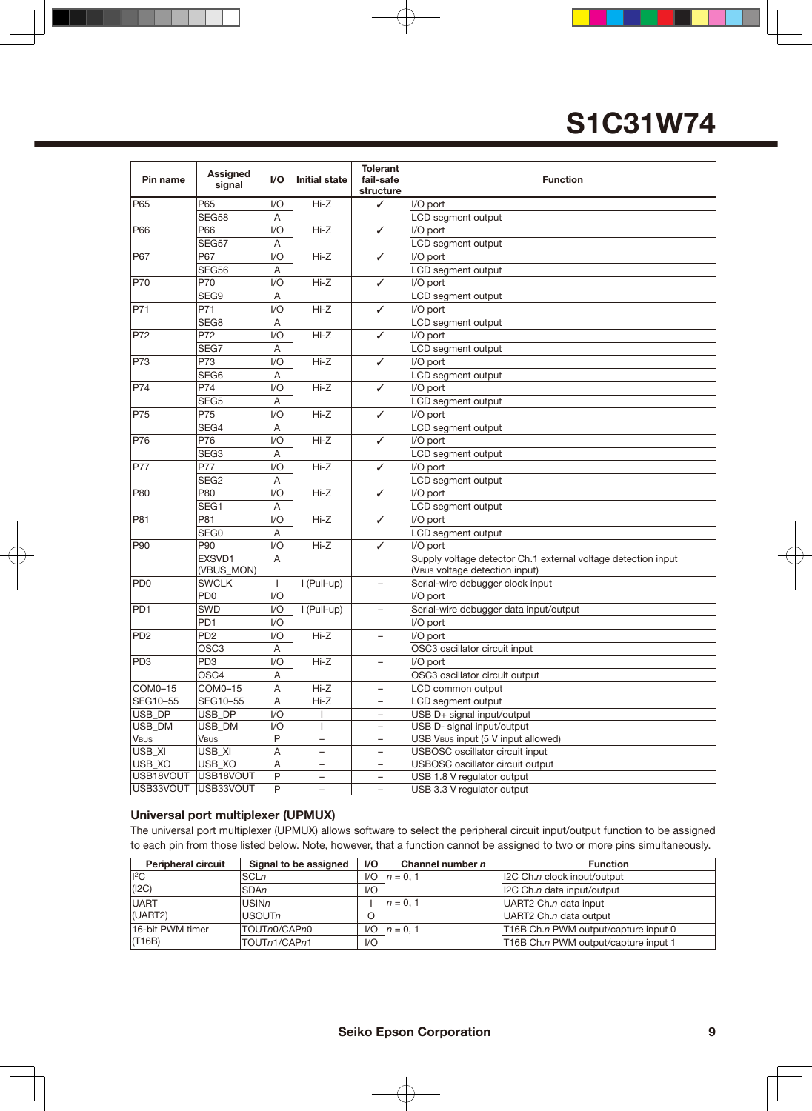| Pin name                    | Assigned<br>signal   | I/O          | <b>Initial state</b>     | <b>Tolerant</b><br>fail-safe<br>structure | <b>Function</b>                                                                                 |
|-----------------------------|----------------------|--------------|--------------------------|-------------------------------------------|-------------------------------------------------------------------------------------------------|
| P65                         | P65                  | 1/O          | $Hi-Z$                   | ✓                                         | I/O port                                                                                        |
|                             | <b>SEG58</b>         | Α            |                          |                                           | LCD segment output                                                                              |
| P66                         | P66                  | 1/O          | $Hi-Z$                   | ✓                                         | I/O port                                                                                        |
|                             | SEG57                | Α            |                          |                                           | LCD segment output                                                                              |
| P67                         | P67                  | 1/O          | Hi-Z                     | ✓                                         | I/O port                                                                                        |
|                             | SEG56                | Α            |                          |                                           | LCD segment output                                                                              |
| P70                         | P70                  | 1/O          | $Hi-Z$                   | ✓                                         | I/O port                                                                                        |
|                             | SEG9                 | Α            |                          |                                           | LCD segment output                                                                              |
| P71                         | P71                  | 1/O          | $Hi-Z$                   | ✓                                         | I/O port                                                                                        |
|                             | SEG8                 | Α            |                          |                                           | LCD segment output                                                                              |
| P72                         | P72                  | 1/O          | $Hi-Z$                   | ✓                                         | I/O port                                                                                        |
|                             | SEG7                 | Α            |                          |                                           | LCD segment output                                                                              |
| P73                         | P73                  | 1/O          | Hi-Z                     | ✓                                         | I/O port                                                                                        |
|                             | SEG6                 | Α            |                          |                                           | LCD segment output                                                                              |
| <b>P74</b>                  | P74                  | 1/O          | $Hi-Z$                   | ✓                                         | I/O port                                                                                        |
|                             | SEG5                 | Α            |                          |                                           | LCD segment output                                                                              |
| P75                         | P75                  | I/O          | Hi-Z                     | ✓<br>✓                                    | I/O port                                                                                        |
|                             | SEG4                 | Α            |                          |                                           | LCD segment output                                                                              |
| P76                         | P76                  | 1/O          | $Hi-Z$                   |                                           | I/O port                                                                                        |
|                             | SEG <sub>3</sub>     | Α            |                          |                                           | LCD segment output                                                                              |
| <b>P77</b>                  | P77                  | 1/O          | $Hi-Z$                   | ✓                                         | I/O port                                                                                        |
|                             | SEG <sub>2</sub>     | Α            |                          |                                           | LCD segment output                                                                              |
| P80                         | P80                  | I/O          | Hi-Z                     | ✓                                         | I/O port                                                                                        |
|                             | SEG1                 | Α            |                          |                                           | LCD segment output                                                                              |
| P81                         | P81                  | 1/O          | $Hi-Z$                   | ✓                                         | I/O port                                                                                        |
|                             | SEG0                 | Α            |                          |                                           | LCD segment output                                                                              |
| P90                         | P90                  | 1/O          | $Hi-Z$                   | ✓                                         | I/O port                                                                                        |
|                             | EXSVD1<br>(VBUS_MON) | A            |                          |                                           | Supply voltage detector Ch.1 external voltage detection input<br>(VBUS voltage detection input) |
| PD <sub>0</sub>             | <b>SWCLK</b>         | $\mathbf{I}$ | I (Pull-up)              | -                                         | Serial-wire debugger clock input                                                                |
|                             | PD <sub>0</sub>      | 1/O          |                          |                                           | I/O port                                                                                        |
| PD <sub>1</sub>             | SWD                  | 1/O          | I (Pull-up)              |                                           | Serial-wire debugger data input/output                                                          |
|                             | PD <sub>1</sub>      | 1/O          |                          |                                           | I/O port                                                                                        |
| P <sub>D</sub> <sub>2</sub> | PD <sub>2</sub>      | 1/O          | $Hi-Z$                   | $\overline{\phantom{0}}$                  | I/O port                                                                                        |
|                             | OSC3                 | Α            |                          |                                           | OSC3 oscillator circuit input                                                                   |
| PD3                         | PD <sub>3</sub>      | 1/O          | Hi-Z                     | $\overline{\phantom{0}}$                  | I/O port                                                                                        |
|                             | OSC4                 | Α            |                          |                                           | OSC3 oscillator circuit output                                                                  |
| COM0-15                     | COM0-15              | A            | $Hi-Z$                   | $\equiv$                                  | LCD common output                                                                               |
| SEG10-55                    | SEG10-55             | A            | Hi-Z                     |                                           | LCD segment output                                                                              |
| USB_DP                      | USB_DP               | 1/O          | ı                        | -                                         | USB D+ signal input/output                                                                      |
| USB DM                      | USB_DM               | 1/O          | $\mathbf{I}$             | -                                         | USB D- signal input/output                                                                      |
| <b>VBUS</b>                 | <b>VBUS</b>          | $\sf P$      |                          |                                           | USB VBUS input (5 V input allowed)                                                              |
| USB_XI                      | USB_XI               | A            | $\overline{\phantom{0}}$ | -                                         | USBOSC oscillator circuit input                                                                 |
| USB_XO                      | USB_XO               | Α            | $\overline{\phantom{0}}$ | -                                         | USBOSC oscillator circuit output                                                                |
| USB18VOUT                   | USB18VOUT            | P            | -                        | -                                         | USB 1.8 V regulator output                                                                      |
| USB33VOUT                   | USB33VOUT            | P            | $\overline{a}$           | $\overline{\phantom{0}}$                  | USB 3.3 V regulator output                                                                      |

#### **Universal port multiplexer (UPMUX)**

The universal port multiplexer (UPMUX) allows software to select the peripheral circuit input/output function to be assigned to each pin from those listed below. Note, however, that a function cannot be assigned to two or more pins simultaneously.

| <b>Peripheral circuit</b> | Signal to be assigned | $\mathsf{I}/\mathsf{O}$ | Channel number n  | <b>Function</b>                      |
|---------------------------|-----------------------|-------------------------|-------------------|--------------------------------------|
| $ {}^{12}$ C              | <b>SCLn</b>           | 1/O                     | $n = 0, 1$        | 12C Ch.n clock input/output          |
| (12C)                     | <b>SDAn</b>           | 1/O                     |                   | 12C Ch.n data input/output           |
| <b>UART</b>               | <b>USINn</b>          |                         | $n = 0.1$         | UART2 Ch.n data input                |
| (UART2)                   | USOUTn                |                         |                   | UART2 Ch.n data output               |
| 16-bit PWM timer          | TOUTn0/CAPn0          |                         | $I/O$ $ n = 0, 1$ | T16B Ch.n PWM output/capture input 0 |
| (T16B)                    | TOUTn1/CAPn1          | 1/O                     |                   | T16B Ch.n PWM output/capture input 1 |